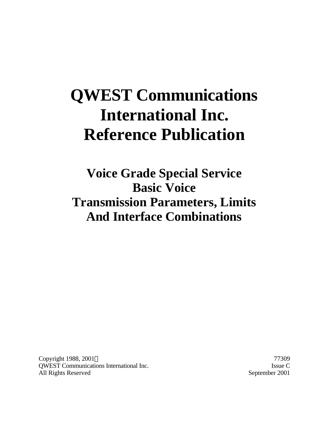# **QWEST Communications International Inc. Reference Publication**

**Voice Grade Special Service Basic Voice Transmission Parameters, Limits And Interface Combinations**

Copyright 1988, 2001 © 77309 QWEST Communications International Inc. Issue C All Rights Reserved September 2001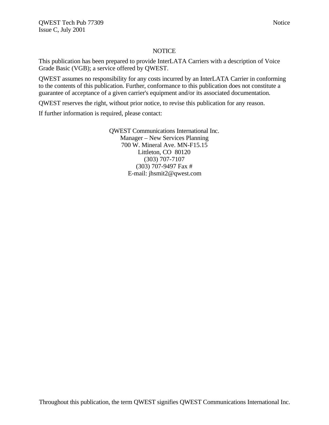#### **NOTICE**

This publication has been prepared to provide InterLATA Carriers with a description of Voice Grade Basic (VGB); a service offered by QWEST.

QWEST assumes no responsibility for any costs incurred by an InterLATA Carrier in conforming to the contents of this publication. Further, conformance to this publication does not constitute a guarantee of acceptance of a given carrier's equipment and/or its associated documentation.

QWEST reserves the right, without prior notice, to revise this publication for any reason.

If further information is required, please contact:

QWEST Communications International Inc. Manager – New Services Planning 700 W. Mineral Ave. MN-F15.15 Littleton, CO 80120 (303) 707-7107 (303) 707-9497 Fax # E-mail: jhsmit2@qwest.com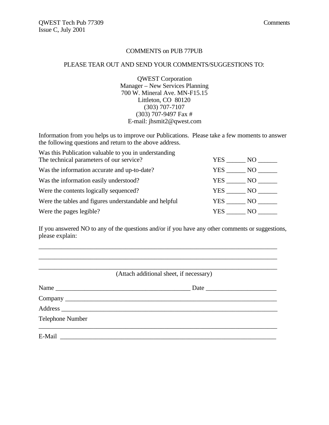#### COMMENTS on PUB 77PUB

#### PLEASE TEAR OUT AND SEND YOUR COMMENTS/SUGGESTIONS TO:

QWEST Corporation Manager – New Services Planning 700 W. Mineral Ave. MN-F15.15 Littleton, CO 80120 (303) 707-7107 (303) 707-9497 Fax # E-mail: jhsmit2@qwest.com

Information from you helps us to improve our Publications. Please take a few moments to answer the following questions and return to the above address.

| Was this Publication valuable to you in understanding  |        |      |
|--------------------------------------------------------|--------|------|
| The technical parameters of our service?               | YES    | NO - |
| Was the information accurate and up-to-date?           | YES    | NO   |
| Was the information easily understood?                 | YES NO |      |
| Were the contents logically sequenced?                 | YES NO |      |
| Were the tables and figures understandable and helpful | YES NO |      |
| Were the pages legible?                                | YES.   | NO.  |

If you answered NO to any of the questions and/or if you have any other comments or suggestions, please explain:

\_\_\_\_\_\_\_\_\_\_\_\_\_\_\_\_\_\_\_\_\_\_\_\_\_\_\_\_\_\_\_\_\_\_\_\_\_\_\_\_\_\_\_\_\_\_\_\_\_\_\_\_\_\_\_\_\_\_\_\_\_\_\_\_\_\_\_\_\_\_\_\_\_\_

|                  | (Attach additional sheet, if necessary) |
|------------------|-----------------------------------------|
|                  |                                         |
|                  |                                         |
|                  |                                         |
| Telephone Number |                                         |
|                  |                                         |
|                  |                                         |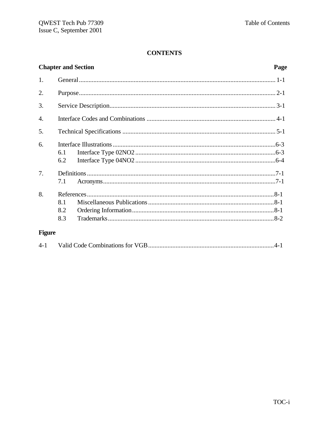|                  | <b>Chapter and Section</b> | Page |
|------------------|----------------------------|------|
| 1.               |                            |      |
| 2.               |                            |      |
| 3.               |                            |      |
| $\overline{4}$ . |                            |      |
| 5.               |                            |      |
| 6.               | 6.1<br>6.2                 |      |
| 7.               | 7.1                        |      |
| 8.               | 8.1<br>8.2<br>8.3          |      |
| <b>Figure</b>    |                            |      |

| $4 - 1$ |  |  |  |
|---------|--|--|--|
|---------|--|--|--|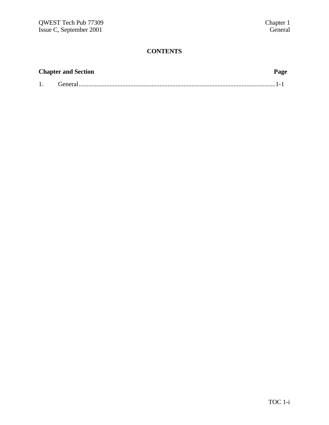| <b>Chapter and Section</b> |  |  |
|----------------------------|--|--|
|                            |  |  |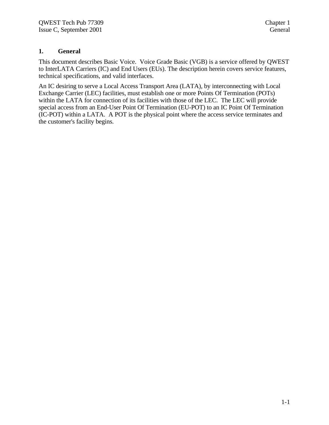### **1. General**

This document describes Basic Voice. Voice Grade Basic (VGB) is a service offered by QWEST to InterLATA Carriers (IC) and End Users (EUs). The description herein covers service features, technical specifications, and valid interfaces.

An IC desiring to serve a Local Access Transport Area (LATA), by interconnecting with Local Exchange Carrier (LEC) facilities, must establish one or more Points Of Termination (POTs) within the LATA for connection of its facilities with those of the LEC. The LEC will provide special access from an End-User Point Of Termination (EU-POT) to an IC Point Of Termination (IC-POT) within a LATA. A POT is the physical point where the access service terminates and the customer's facility begins.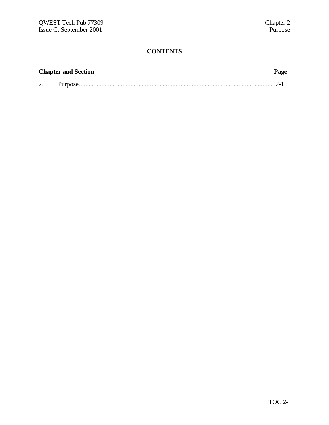| <b>Chapter and Section</b> | Page |
|----------------------------|------|
|                            |      |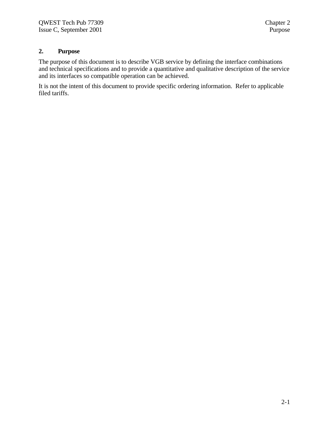# **2. Purpose**

The purpose of this document is to describe VGB service by defining the interface combinations and technical specifications and to provide a quantitative and qualitative description of the service and its interfaces so compatible operation can be achieved.

It is not the intent of this document to provide specific ordering information. Refer to applicable filed tariffs.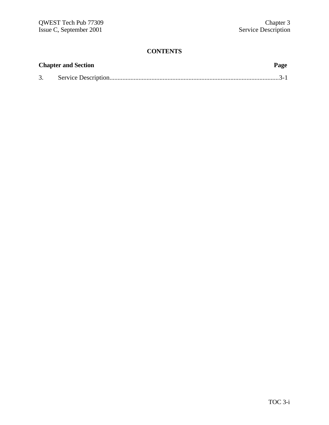| <b>Chapter and Section</b> |  | Page |  |
|----------------------------|--|------|--|
| 3.                         |  |      |  |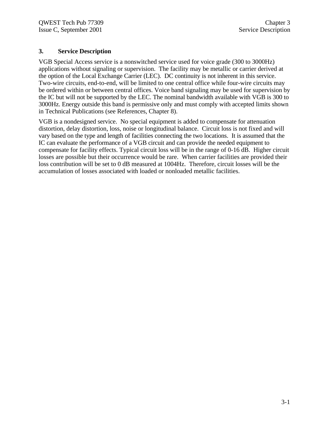#### **3. Service Description**

VGB Special Access service is a nonswitched service used for voice grade (300 to 3000Hz) applications without signaling or supervision. The facility may be metallic or carrier derived at the option of the Local Exchange Carrier (LEC). DC continuity is not inherent in this service. Two-wire circuits, end-to-end, will be limited to one central office while four-wire circuits may be ordered within or between central offices. Voice band signaling may be used for supervision by the IC but will not be supported by the LEC. The nominal bandwidth available with VGB is 300 to 3000Hz. Energy outside this band is permissive only and must comply with accepted limits shown in Technical Publications (see References, Chapter 8).

VGB is a nondesigned service. No special equipment is added to compensate for attenuation distortion, delay distortion, loss, noise or longitudinal balance. Circuit loss is not fixed and will vary based on the type and length of facilities connecting the two locations. It is assumed that the IC can evaluate the performance of a VGB circuit and can provide the needed equipment to compensate for facility effects. Typical circuit loss will be in the range of 0-16 dB. Higher circuit losses are possible but their occurrence would be rare. When carrier facilities are provided their loss contribution will be set to 0 dB measured at 1004Hz. Therefore, circuit losses will be the accumulation of losses associated with loaded or nonloaded metallic facilities.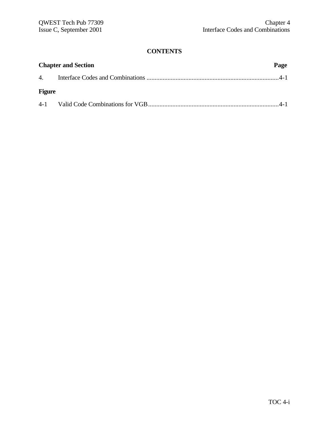| <b>Chapter and Section</b> |  |  |
|----------------------------|--|--|
|                            |  |  |
| <b>Figure</b>              |  |  |
|                            |  |  |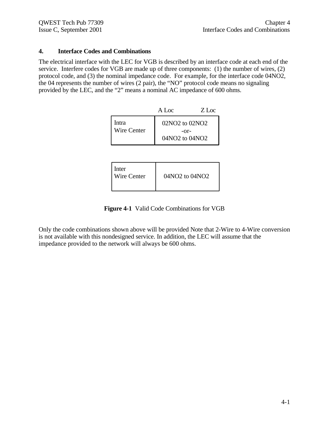### **4. Interface Codes and Combinations**

The electrical interface with the LEC for VGB is described by an interface code at each end of the service. Interfere codes for VGB are made up of three components: (1) the number of wires, (2) protocol code, and (3) the nominal impedance code. For example, for the interface code 04NO2, the 04 represents the number of wires (2 pair), the "NO" protocol code means no signaling provided by the LEC, and the "2" means a nominal AC impedance of 600 ohms.

|                             | A Loc                                          | Z Loc |
|-----------------------------|------------------------------------------------|-------|
| Intra<br><b>Wire Center</b> | $02NO2$ to $02NO2$<br>$-0r-$<br>04NO2 to 04NO2 |       |

| Inter<br><b>Wire Center</b><br>04NO2 to 04NO2 |
|-----------------------------------------------|
|-----------------------------------------------|

**Figure 4-1** Valid Code Combinations for VGB

Only the code combinations shown above will be provided Note that 2-Wire to 4-Wire conversion is not available with this nondesigned service. In addition, the LEC will assume that the impedance provided to the network will always be 600 ohms.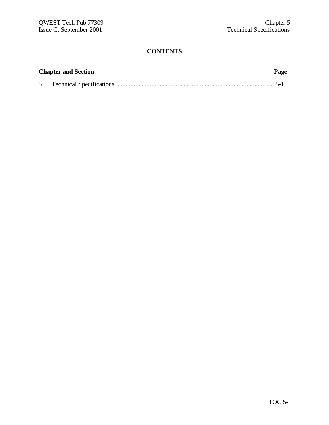| <b>Chapter and Section</b> | Page |
|----------------------------|------|
|                            |      |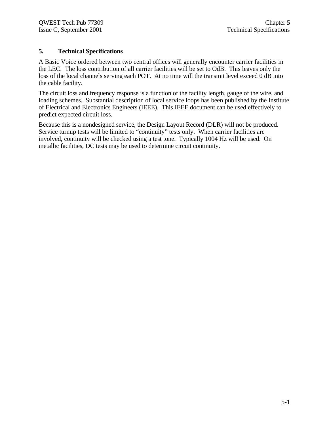### **5. Technical Specifications**

A Basic Voice ordered between two central offices will generally encounter carrier facilities in the LEC. The loss contribution of all carrier facilities will be set to OdB. This leaves only the loss of the local channels serving each POT. At no time will the transmit level exceed 0 dB into the cable facility.

The circuit loss and frequency response is a function of the facility length, gauge of the wire, and loading schemes. Substantial description of local service loops has been published by the Institute of Electrical and Electronics Engineers (IEEE). This IEEE document can be used effectively to predict expected circuit loss.

Because this is a nondesigned service, the Design Layout Record (DLR) will not be produced. Service turnup tests will be limited to "continuity" tests only. When carrier facilities are involved, continuity will be checked using a test tone. Typically 1004 Hz will be used. On metallic facilities, DC tests may be used to determine circuit continuity.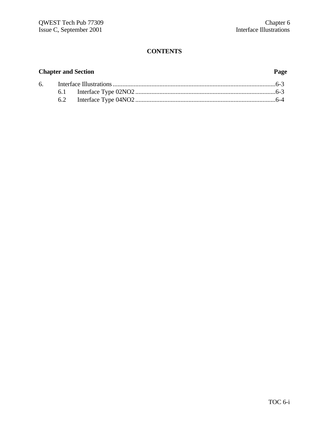# **Chapter and Section Page**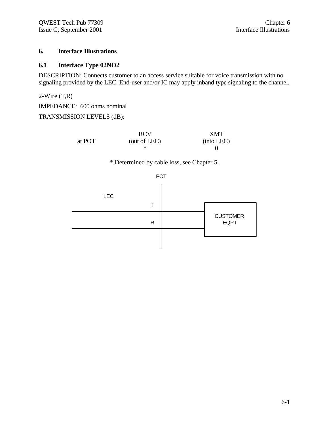### **6. Interface Illustrations**

#### **6.1 Interface Type 02NO2**

DESCRIPTION: Connects customer to an access service suitable for voice transmission with no signaling provided by the LEC. End-user and/or IC may apply inband type signaling to the channel.

2-Wire (T,R)

IMPEDANCE: 600 ohms nominal

TRANSMISSION LEVELS (dB):

|        | <b>RCV</b>   | <b>XMT</b> |
|--------|--------------|------------|
| at POT | (out of LEC) | (into LEC) |
|        |              |            |

\* Determined by cable loss, see Chapter 5.



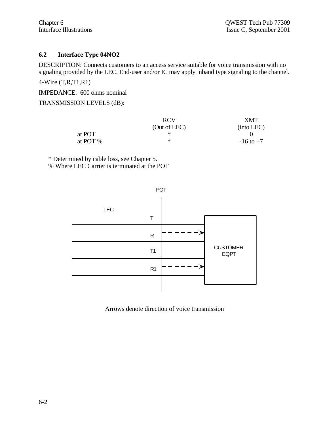### **6.2 Interface Type 04NO2**

DESCRIPTION: Connects customers to an access service suitable for voice transmission with no signaling provided by the LEC. End-user and/or IC may apply inband type signaling to the channel.

4-Wire (T,R,T1,R1)

IMPEDANCE: 600 ohms nominal

### TRANSMISSION LEVELS (dB):

|          | <b>RCV</b>   | XMT           |
|----------|--------------|---------------|
|          | (Out of LEC) | (into LEC)    |
| at POT   |              |               |
| at POT % | ∗            | $-16$ to $+7$ |

\* Determined by cable loss, see Chapter 5. % Where LEC Carrier is terminated at the POT



Arrows denote direction of voice transmission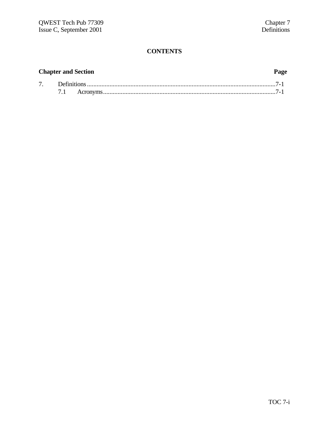# **Chapter and Section Page**

| Jefinitions |  |  |  |
|-------------|--|--|--|
|             |  |  |  |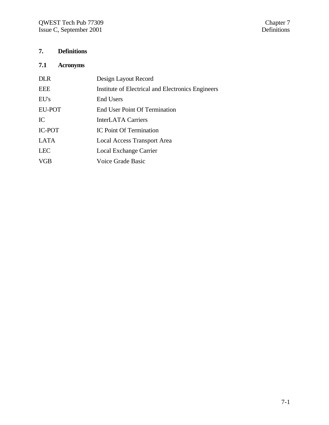# **7. Definitions**

# **7.1 Acronyms**

| <b>DLR</b>    | Design Layout Record                              |
|---------------|---------------------------------------------------|
| <b>EEE</b>    | Institute of Electrical and Electronics Engineers |
| EU's          | End Users                                         |
| <b>EU-POT</b> | <b>End User Point Of Termination</b>              |
| IC            | <b>InterLATA Carriers</b>                         |
| <b>IC-POT</b> | <b>IC Point Of Termination</b>                    |
| <b>LATA</b>   | <b>Local Access Transport Area</b>                |
| <b>LEC</b>    | Local Exchange Carrier                            |
| <b>VGB</b>    | Voice Grade Basic                                 |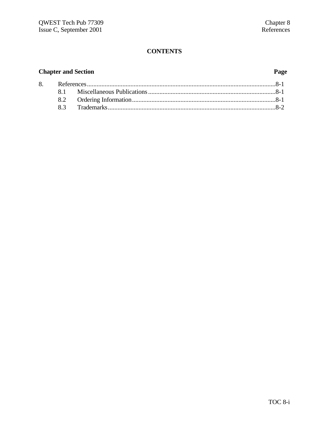# **Chapter and Section**

# Page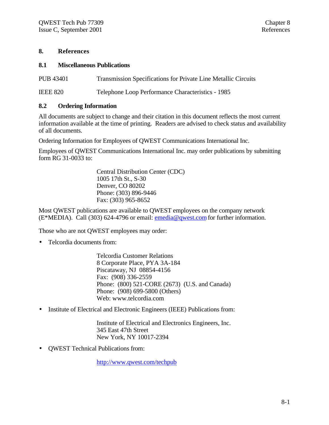#### **8. References**

#### **8.1 Miscellaneous Publications**

PUB 43401 Transmission Specifications for Private Line Metallic Circuits

IEEE 820 Telephone Loop Performance Characteristics - 1985

#### **8.2 Ordering Information**

All documents are subject to change and their citation in this document reflects the most current information available at the time of printing. Readers are advised to check status and availability of all documents.

Ordering Information for Employees of QWEST Communications International Inc.

Employees of QWEST Communications International Inc. may order publications by submitting form RG 31-0033 to:

> Central Distribution Center (CDC) 1005 17th St., S-30 Denver, CO 80202 Phone: (303) 896-9446 Fax: (303) 965-8652

Most QWEST publications are available to QWEST employees on the company network (E\*MEDIA). Call (303) 624-4796 or email: emedia@qwest.com for further information.

Those who are not QWEST employees may order:

• Telcordia documents from:

Telcordia Customer Relations 8 Corporate Place, PYA 3A-184 Piscataway, NJ 08854-4156 Fax: (908) 336-2559 Phone: (800) 521-CORE (2673) (U.S. and Canada) Phone: (908) 699-5800 (Others) Web: www.telcordia.com

• Institute of Electrical and Electronic Engineers (IEEE) Publications from:

Institute of Electrical and Electronics Engineers, Inc. 345 East 47th Street New York, NY 10017-2394

• QWEST Technical Publications from:

http://www.qwest.com/techpub